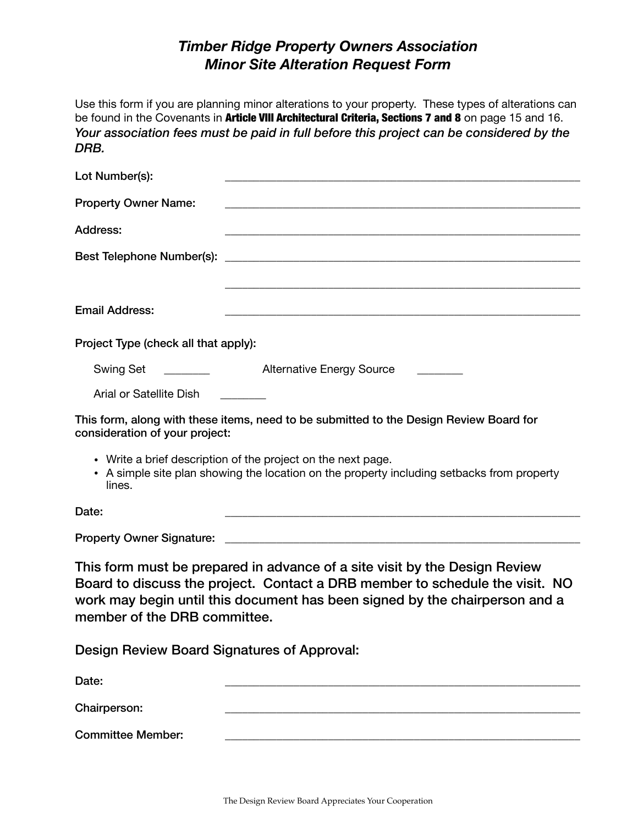## *Timber Ridge Property Owners Association Minor Site Alteration Request Form*

Use this form if you are planning minor alterations to your property. These types of alterations can be found in the Covenants in Article VIII Architectural Criteria, Sections 7 and 8 on page 15 and 16. *Your association fees must be paid in full before this project can be considered by the DRB.*

| Lot Number(s):                                                                                                                                                                                                                                                            |                                                                                                                                                            |  |
|---------------------------------------------------------------------------------------------------------------------------------------------------------------------------------------------------------------------------------------------------------------------------|------------------------------------------------------------------------------------------------------------------------------------------------------------|--|
| <b>Property Owner Name:</b>                                                                                                                                                                                                                                               |                                                                                                                                                            |  |
| <b>Address:</b>                                                                                                                                                                                                                                                           | <u> 1989 - Johann Barn, mars ann an t-Amhainn an t-Amhainn an t-Amhainn an t-Amhainn an t-Amhainn an t-Amhainn an </u>                                     |  |
| Best Telephone Number(s):                                                                                                                                                                                                                                                 | <u> 1999 - Johann John Stone, markin sammen beskriuwer oan de ferskearre oan de ferskearre oan de ferskearre oan</u>                                       |  |
|                                                                                                                                                                                                                                                                           |                                                                                                                                                            |  |
| <b>Email Address:</b>                                                                                                                                                                                                                                                     | <u> 1989 - Johann John Stone, mars and de format de la provincia de la provincia de la provincia de la provincia</u>                                       |  |
| Project Type (check all that apply):                                                                                                                                                                                                                                      |                                                                                                                                                            |  |
|                                                                                                                                                                                                                                                                           |                                                                                                                                                            |  |
| Arial or Satellite Dish                                                                                                                                                                                                                                                   |                                                                                                                                                            |  |
| consideration of your project:                                                                                                                                                                                                                                            | This form, along with these items, need to be submitted to the Design Review Board for                                                                     |  |
| lines.                                                                                                                                                                                                                                                                    | • Write a brief description of the project on the next page.<br>• A simple site plan showing the location on the property including setbacks from property |  |
| Date:                                                                                                                                                                                                                                                                     |                                                                                                                                                            |  |
|                                                                                                                                                                                                                                                                           |                                                                                                                                                            |  |
| This form must be prepared in advance of a site visit by the Design Review<br>Board to discuss the project. Contact a DRB member to schedule the visit. NO<br>work may begin until this document has been signed by the chairperson and a<br>member of the DRB committee. |                                                                                                                                                            |  |

Design Review Board Signatures of Approval:

| Date:                    |  |
|--------------------------|--|
| Chairperson:             |  |
| <b>Committee Member:</b> |  |